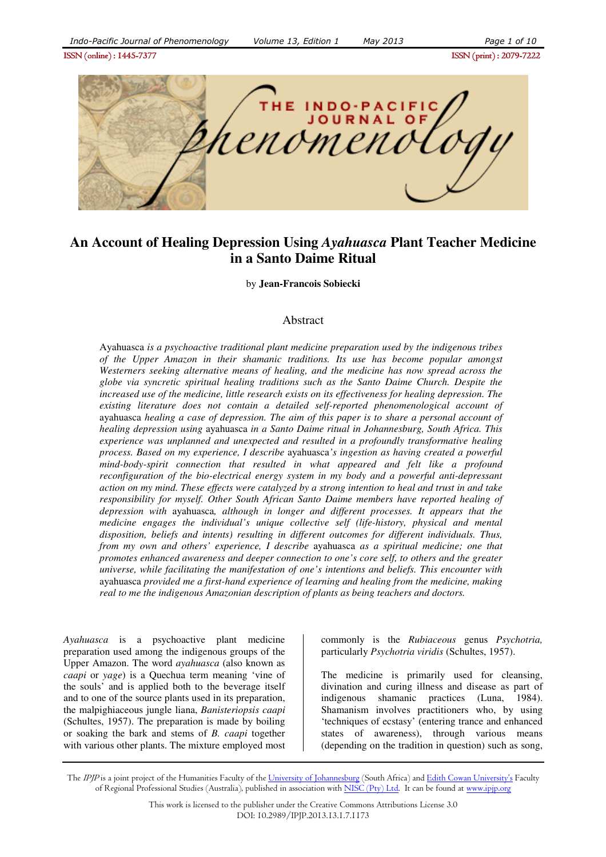

# **An Account of Healing Depression Using** *Ayahuasca* **Plant Teacher Medicine in a Santo Daime Ritual**

by **Jean-Francois Sobiecki**

## Abstract

Ayahuasca *is a psychoactive traditional plant medicine preparation used by the indigenous tribes of the Upper Amazon in their shamanic traditions. Its use has become popular amongst Westerners seeking alternative means of healing, and the medicine has now spread across the globe via syncretic spiritual healing traditions such as the Santo Daime Church. Despite the increased use of the medicine, little research exists on its effectiveness for healing depression. The existing literature does not contain a detailed self-reported phenomenological account of*  ayahuasca *healing a case of depression. The aim of this paper is to share a personal account of healing depression using* ayahuasca *in a Santo Daime ritual in Johannesburg, South Africa. This experience was unplanned and unexpected and resulted in a profoundly transformative healing process. Based on my experience, I describe* ayahuasca*'s ingestion as having created a powerful mind-body-spirit connection that resulted in what appeared and felt like a profound reconfiguration of the bio-electrical energy system in my body and a powerful anti-depressant action on my mind. These effects were catalyzed by a strong intention to heal and trust in and take responsibility for myself. Other South African Santo Daime members have reported healing of depression with* ayahuasca*, although in longer and different processes. It appears that the medicine engages the individual's unique collective self (life-history, physical and mental disposition, beliefs and intents) resulting in different outcomes for different individuals. Thus, from my own and others' experience, I describe* ayahuasca *as a spiritual medicine; one that promotes enhanced awareness and deeper connection to one's core self, to others and the greater universe, while facilitating the manifestation of one's intentions and beliefs. This encounter with*  ayahuasca *provided me a first-hand experience of learning and healing from the medicine, making real to me the indigenous Amazonian description of plants as being teachers and doctors.* 

*Ayahuasca* is a psychoactive plant medicine preparation used among the indigenous groups of the Upper Amazon. The word *ayahuasca* (also known as *caapi* or *yage*) is a Quechua term meaning 'vine of the souls' and is applied both to the beverage itself and to one of the source plants used in its preparation, the malpighiaceous jungle liana, *Banisteriopsis caapi* (Schultes, 1957). The preparation is made by boiling or soaking the bark and stems of *B. caapi* together with various other plants. The mixture employed most commonly is the *Rubiaceous* genus *Psychotria,* particularly *Psychotria viridis* (Schultes, 1957).

The medicine is primarily used for cleansing, divination and curing illness and disease as part of indigenous shamanic practices (Luna, 1984). Shamanism involves practitioners who, by using 'techniques of ecstasy' (entering trance and enhanced states of awareness), through various means (depending on the tradition in question) such as song,

The IPJP is a joint project of the Humanities Faculty of the University of Johannesburg (South Africa) and Edith Cowan University's Faculty of Regional Professional Studies (Australia), published in association with NISC (Pty) Ltd. It can be found at www.ipjp.org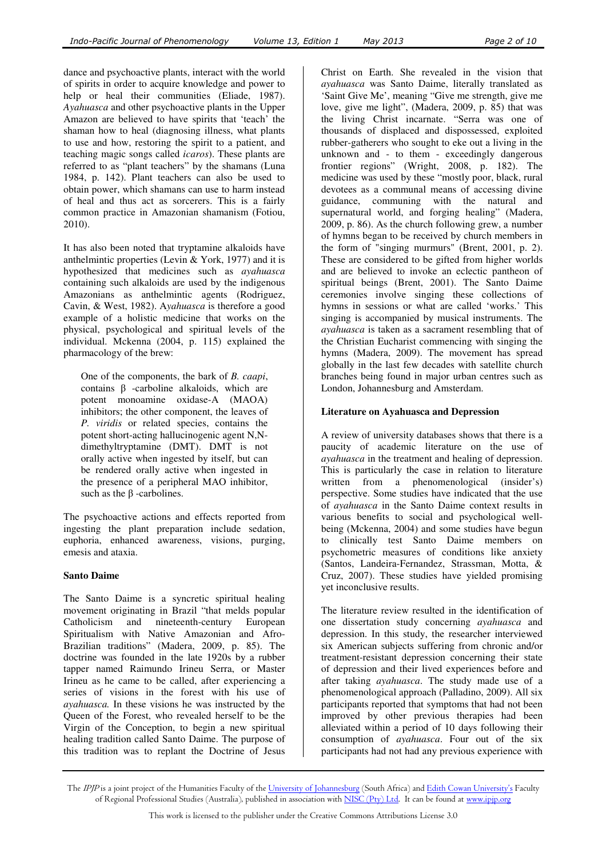dance and psychoactive plants, interact with the world of spirits in order to acquire knowledge and power to help or heal their communities (Eliade, 1987). *Ayahuasca* and other psychoactive plants in the Upper Amazon are believed to have spirits that 'teach' the shaman how to heal (diagnosing illness, what plants to use and how, restoring the spirit to a patient, and teaching magic songs called *icaros*). These plants are referred to as "plant teachers" by the shamans (Luna 1984, p. 142). Plant teachers can also be used to obtain power, which shamans can use to harm instead of heal and thus act as sorcerers. This is a fairly common practice in Amazonian shamanism (Fotiou, 2010).

It has also been noted that tryptamine alkaloids have anthelmintic properties (Levin & York, 1977) and it is hypothesized that medicines such as *ayahuasca*  containing such alkaloids are used by the indigenous Amazonians as anthelmintic agents (Rodriguez, Cavin, & West, 1982). A*yahuasca* is therefore a good example of a holistic medicine that works on the physical, psychological and spiritual levels of the individual. Mckenna (2004, p. 115) explained the pharmacology of the brew:

One of the components, the bark of *B. caapi*, contains β -carboline alkaloids, which are potent monoamine oxidase-A (MAOA) inhibitors; the other component, the leaves of *P. viridis* or related species, contains the potent short-acting hallucinogenic agent N,Ndimethyltryptamine (DMT). DMT is not orally active when ingested by itself, but can be rendered orally active when ingested in the presence of a peripheral MAO inhibitor, such as the  $\beta$  -carbolines.

The psychoactive actions and effects reported from ingesting the plant preparation include sedation, euphoria, enhanced awareness, visions, purging, emesis and ataxia.

## **Santo Daime**

The Santo Daime is a syncretic spiritual healing movement originating in Brazil "that melds popular Catholicism and nineteenth-century European Spiritualism with Native Amazonian and Afro-Brazilian traditions" (Madera, 2009, p. 85). The doctrine was founded in the late 1920s by a rubber tapper named Raimundo Irineu Serra, or Master Irineu as he came to be called, after experiencing a series of visions in the forest with his use of *ayahuasca.* In these visions he was instructed by the Queen of the Forest, who revealed herself to be the Virgin of the Conception, to begin a new spiritual healing tradition called Santo Daime. The purpose of this tradition was to replant the Doctrine of Jesus

Christ on Earth. She revealed in the vision that *ayahuasca* was Santo Daime, literally translated as 'Saint Give Me', meaning "Give me strength, give me love, give me light", (Madera, 2009, p. 85) that was the living Christ incarnate. "Serra was one of thousands of displaced and dispossessed, exploited rubber-gatherers who sought to eke out a living in the unknown and - to them - exceedingly dangerous frontier regions" (Wright, 2008, p. 182). The medicine was used by these "mostly poor, black, rural devotees as a communal means of accessing divine guidance, communing with the natural and supernatural world, and forging healing" (Madera, 2009, p. 86). As the church following grew, a number of hymns began to be received by church members in the form of "singing murmurs" (Brent, 2001, p. 2). These are considered to be gifted from higher worlds and are believed to invoke an eclectic pantheon of spiritual beings (Brent, 2001). The Santo Daime ceremonies involve singing these collections of hymns in sessions or what are called 'works.' This singing is accompanied by musical instruments. The *ayahuasca* is taken as a sacrament resembling that of the Christian Eucharist commencing with singing the hymns (Madera, 2009). The movement has spread globally in the last few decades with satellite church branches being found in major urban centres such as London, Johannesburg and Amsterdam.

# **Literature on Ayahuasca and Depression**

A review of university databases shows that there is a paucity of academic literature on the use of *ayahuasca* in the treatment and healing of depression. This is particularly the case in relation to literature written from a phenomenological (insider's) perspective. Some studies have indicated that the use of *ayahuasca* in the Santo Daime context results in various benefits to social and psychological wellbeing (Mckenna, 2004) and some studies have begun to clinically test Santo Daime members on psychometric measures of conditions like anxiety (Santos, Landeira-Fernandez, Strassman, Motta, & Cruz, 2007). These studies have yielded promising yet inconclusive results.

The literature review resulted in the identification of one dissertation study concerning *ayahuasca* and depression. In this study, the researcher interviewed six American subjects suffering from chronic and/or treatment-resistant depression concerning their state of depression and their lived experiences before and after taking *ayahuasca*. The study made use of a phenomenological approach (Palladino, 2009). All six participants reported that symptoms that had not been improved by other previous therapies had been alleviated within a period of 10 days following their consumption of *ayahuasca*. Four out of the six participants had not had any previous experience with

The IPJP is a joint project of the Humanities Faculty of the University of Johannesburg (South Africa) and Edith Cowan University's Faculty of Regional Professional Studies (Australia), published in association with NISC (Pty) Ltd. It can be found at www.ipjp.org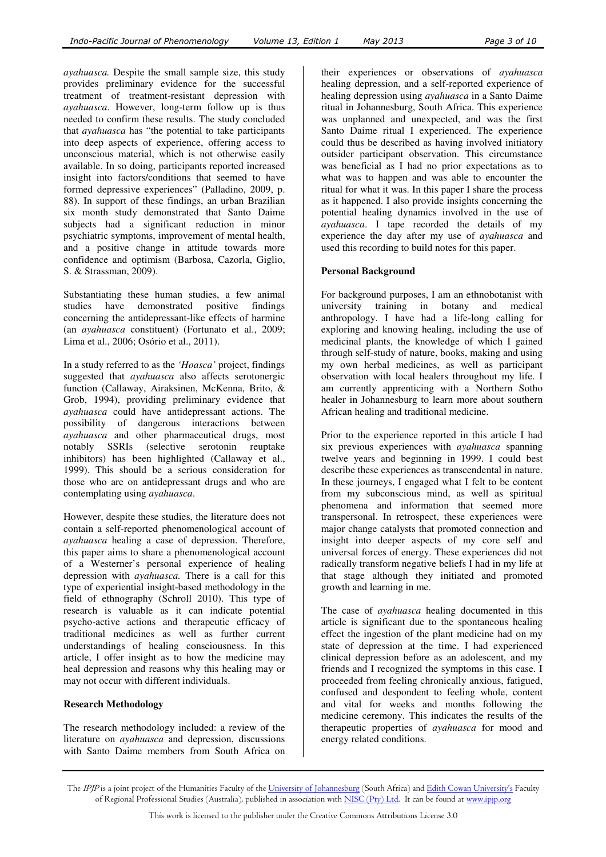*ayahuasca.* Despite the small sample size, this study provides preliminary evidence for the successful treatment of treatment-resistant depression with *ayahuasca*. However, long-term follow up is thus needed to confirm these results. The study concluded that *ayahuasca* has "the potential to take participants into deep aspects of experience, offering access to unconscious material, which is not otherwise easily available. In so doing, participants reported increased insight into factors/conditions that seemed to have formed depressive experiences" (Palladino, 2009, p. 88). In support of these findings, an urban Brazilian six month study demonstrated that Santo Daime subjects had a significant reduction in minor psychiatric symptoms, improvement of mental health, and a positive change in attitude towards more confidence and optimism (Barbosa, Cazorla, Giglio, S. & Strassman, 2009).

Substantiating these human studies, a few animal studies have demonstrated positive findings concerning the antidepressant-like effects of harmine (an *ayahuasca* constituent) (Fortunato et al., 2009; Lima et al., 2006; Osório et al., 2011).

In a study referred to as the *'Hoasca'* project, findings suggested that *ayahuasca* also affects serotonergic function (Callaway, Airaksinen, McKenna, Brito, & Grob, 1994), providing preliminary evidence that *ayahuasca* could have antidepressant actions. The possibility of dangerous interactions between *ayahuasca* and other pharmaceutical drugs, most notably SSRIs (selective serotonin reuptake inhibitors) has been highlighted (Callaway et al., 1999). This should be a serious consideration for those who are on antidepressant drugs and who are contemplating using *ayahuasca*.

However, despite these studies, the literature does not contain a self-reported phenomenological account of *ayahuasca* healing a case of depression. Therefore, this paper aims to share a phenomenological account of a Westerner's personal experience of healing depression with *ayahuasca.* There is a call for this type of experiential insight-based methodology in the field of ethnography (Schroll 2010). This type of research is valuable as it can indicate potential psycho-active actions and therapeutic efficacy of traditional medicines as well as further current understandings of healing consciousness. In this article, I offer insight as to how the medicine may heal depression and reasons why this healing may or may not occur with different individuals.

## **Research Methodology**

The research methodology included: a review of the literature on *ayahuasca* and depression, discussions with Santo Daime members from South Africa on

their experiences or observations of *ayahuasca* healing depression, and a self-reported experience of healing depression using *ayahuasca* in a Santo Daime ritual in Johannesburg, South Africa. This experience was unplanned and unexpected, and was the first Santo Daime ritual I experienced. The experience could thus be described as having involved initiatory outsider participant observation. This circumstance was beneficial as I had no prior expectations as to what was to happen and was able to encounter the ritual for what it was. In this paper I share the process as it happened. I also provide insights concerning the potential healing dynamics involved in the use of *ayahuasca*. I tape recorded the details of my experience the day after my use of *ayahuasca* and used this recording to build notes for this paper.

#### **Personal Background**

For background purposes, I am an ethnobotanist with university training in botany and medical anthropology. I have had a life-long calling for exploring and knowing healing, including the use of medicinal plants, the knowledge of which I gained through self-study of nature, books, making and using my own herbal medicines, as well as participant observation with local healers throughout my life. I am currently apprenticing with a Northern Sotho healer in Johannesburg to learn more about southern African healing and traditional medicine.

Prior to the experience reported in this article I had six previous experiences with *ayahuasca* spanning twelve years and beginning in 1999. I could best describe these experiences as transcendental in nature. In these journeys, I engaged what I felt to be content from my subconscious mind, as well as spiritual phenomena and information that seemed more transpersonal. In retrospect, these experiences were major change catalysts that promoted connection and insight into deeper aspects of my core self and universal forces of energy. These experiences did not radically transform negative beliefs I had in my life at that stage although they initiated and promoted growth and learning in me.

The case of *ayahuasca* healing documented in this article is significant due to the spontaneous healing effect the ingestion of the plant medicine had on my state of depression at the time. I had experienced clinical depression before as an adolescent, and my friends and I recognized the symptoms in this case. I proceeded from feeling chronically anxious, fatigued, confused and despondent to feeling whole, content and vital for weeks and months following the medicine ceremony. This indicates the results of the therapeutic properties of *ayahuasca* for mood and energy related conditions.

The *IPJP* is a joint project of the Humanities Faculty of the <u>University of Johannesburg</u> (South Africa) and <u>Edith Cowan University's</u> Faculty of Regional Professional Studies (Australia), published in association with <u>NISC (Pty) Ltd</u>. It can be found at <u>www.ipjp.org</u>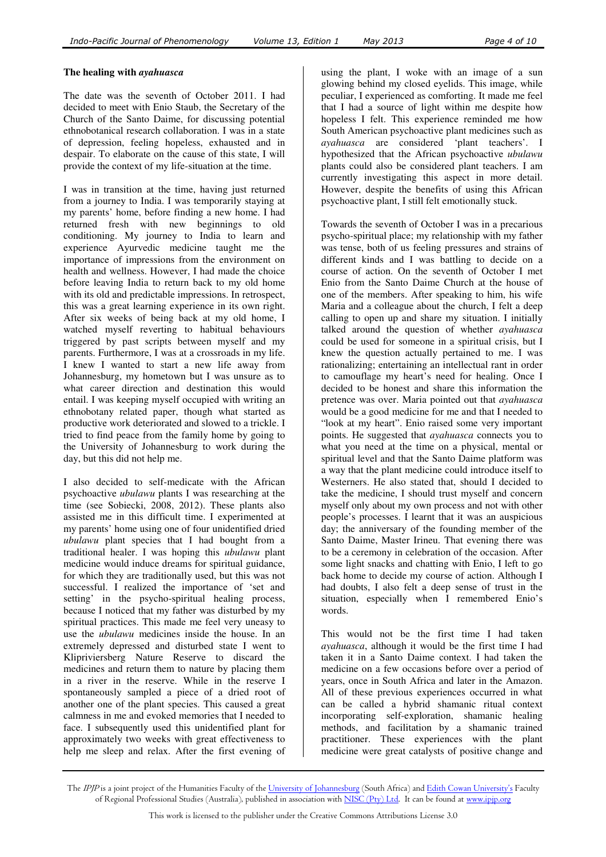# **The healing with** *ayahuasca*

The date was the seventh of October 2011. I had decided to meet with Enio Staub, the Secretary of the Church of the Santo Daime, for discussing potential ethnobotanical research collaboration. I was in a state of depression, feeling hopeless, exhausted and in despair. To elaborate on the cause of this state, I will provide the context of my life-situation at the time.

I was in transition at the time, having just returned from a journey to India. I was temporarily staying at my parents' home, before finding a new home. I had returned fresh with new beginnings to old conditioning. My journey to India to learn and experience Ayurvedic medicine taught me the importance of impressions from the environment on health and wellness. However, I had made the choice before leaving India to return back to my old home with its old and predictable impressions. In retrospect, this was a great learning experience in its own right. After six weeks of being back at my old home, I watched myself reverting to habitual behaviours triggered by past scripts between myself and my parents. Furthermore, I was at a crossroads in my life. I knew I wanted to start a new life away from Johannesburg, my hometown but I was unsure as to what career direction and destination this would entail. I was keeping myself occupied with writing an ethnobotany related paper, though what started as productive work deteriorated and slowed to a trickle. I tried to find peace from the family home by going to the University of Johannesburg to work during the day, but this did not help me.

I also decided to self-medicate with the African psychoactive *ubulawu* plants I was researching at the time (see Sobiecki, 2008, 2012). These plants also assisted me in this difficult time. I experimented at my parents' home using one of four unidentified dried *ubulawu* plant species that I had bought from a traditional healer. I was hoping this *ubulawu* plant medicine would induce dreams for spiritual guidance, for which they are traditionally used, but this was not successful. I realized the importance of 'set and setting' in the psycho-spiritual healing process, because I noticed that my father was disturbed by my spiritual practices. This made me feel very uneasy to use the *ubulawu* medicines inside the house. In an extremely depressed and disturbed state I went to Klipriviersberg Nature Reserve to discard the medicines and return them to nature by placing them in a river in the reserve. While in the reserve I spontaneously sampled a piece of a dried root of another one of the plant species. This caused a great calmness in me and evoked memories that I needed to face. I subsequently used this unidentified plant for approximately two weeks with great effectiveness to help me sleep and relax. After the first evening of

using the plant, I woke with an image of a sun glowing behind my closed eyelids. This image, while peculiar, I experienced as comforting. It made me feel that I had a source of light within me despite how hopeless I felt. This experience reminded me how South American psychoactive plant medicines such as *ayahuasca* are considered 'plant teachers'. I hypothesized that the African psychoactive *ubulawu*  plants could also be considered plant teachers. I am currently investigating this aspect in more detail. However, despite the benefits of using this African psychoactive plant, I still felt emotionally stuck.

Towards the seventh of October I was in a precarious psycho-spiritual place; my relationship with my father was tense, both of us feeling pressures and strains of different kinds and I was battling to decide on a course of action. On the seventh of October I met Enio from the Santo Daime Church at the house of one of the members. After speaking to him, his wife Maria and a colleague about the church, I felt a deep calling to open up and share my situation. I initially talked around the question of whether *ayahuasca* could be used for someone in a spiritual crisis, but I knew the question actually pertained to me. I was rationalizing; entertaining an intellectual rant in order to camouflage my heart's need for healing. Once I decided to be honest and share this information the pretence was over. Maria pointed out that *ayahuasca* would be a good medicine for me and that I needed to "look at my heart". Enio raised some very important points. He suggested that *ayahuasca* connects you to what you need at the time on a physical, mental or spiritual level and that the Santo Daime platform was a way that the plant medicine could introduce itself to Westerners. He also stated that, should I decided to take the medicine, I should trust myself and concern myself only about my own process and not with other people's processes. I learnt that it was an auspicious day; the anniversary of the founding member of the Santo Daime, Master Irineu. That evening there was to be a ceremony in celebration of the occasion. After some light snacks and chatting with Enio, I left to go back home to decide my course of action. Although I had doubts, I also felt a deep sense of trust in the situation, especially when I remembered Enio's words.

This would not be the first time I had taken *ayahuasca*, although it would be the first time I had taken it in a Santo Daime context. I had taken the medicine on a few occasions before over a period of years, once in South Africa and later in the Amazon. All of these previous experiences occurred in what can be called a hybrid shamanic ritual context incorporating self-exploration, shamanic healing methods, and facilitation by a shamanic trained practitioner. These experiences with the plant medicine were great catalysts of positive change and

The IPJP is a joint project of the Humanities Faculty of the University of Johannesburg (South Africa) and Edith Cowan University's Faculty of Regional Professional Studies (Australia), published in association with NISC (Pty) Ltd. It can be found at www.ipjp.org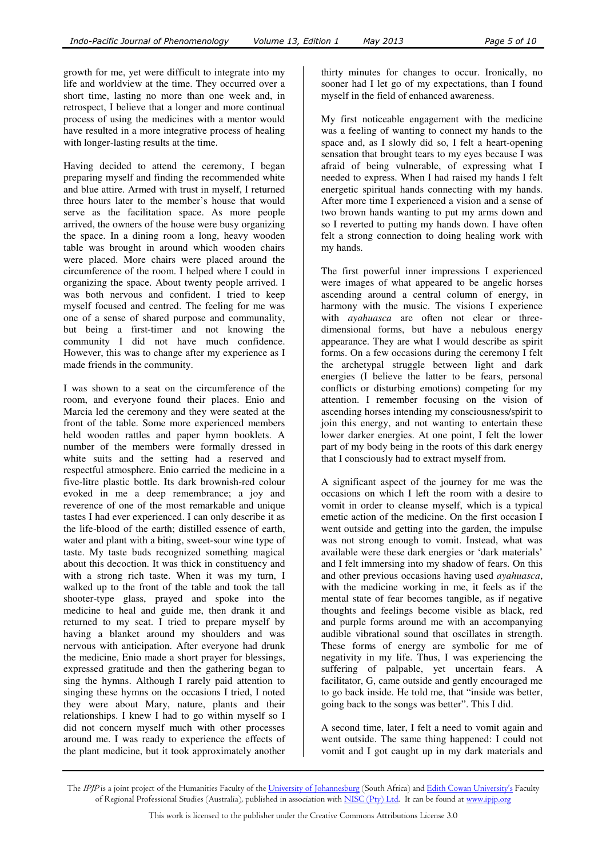growth for me, yet were difficult to integrate into my life and worldview at the time. They occurred over a short time, lasting no more than one week and, in retrospect, I believe that a longer and more continual process of using the medicines with a mentor would have resulted in a more integrative process of healing with longer-lasting results at the time.

Having decided to attend the ceremony, I began preparing myself and finding the recommended white and blue attire. Armed with trust in myself, I returned three hours later to the member's house that would serve as the facilitation space. As more people arrived, the owners of the house were busy organizing the space. In a dining room a long, heavy wooden table was brought in around which wooden chairs were placed. More chairs were placed around the circumference of the room. I helped where I could in organizing the space. About twenty people arrived. I was both nervous and confident. I tried to keep myself focused and centred. The feeling for me was one of a sense of shared purpose and communality, but being a first-timer and not knowing the community I did not have much confidence. However, this was to change after my experience as I made friends in the community.

I was shown to a seat on the circumference of the room, and everyone found their places. Enio and Marcia led the ceremony and they were seated at the front of the table. Some more experienced members held wooden rattles and paper hymn booklets. A number of the members were formally dressed in white suits and the setting had a reserved and respectful atmosphere. Enio carried the medicine in a five-litre plastic bottle. Its dark brownish-red colour evoked in me a deep remembrance; a joy and reverence of one of the most remarkable and unique tastes I had ever experienced. I can only describe it as the life-blood of the earth; distilled essence of earth, water and plant with a biting, sweet-sour wine type of taste. My taste buds recognized something magical about this decoction. It was thick in constituency and with a strong rich taste. When it was my turn, I walked up to the front of the table and took the tall shooter-type glass, prayed and spoke into the medicine to heal and guide me, then drank it and returned to my seat. I tried to prepare myself by having a blanket around my shoulders and was nervous with anticipation. After everyone had drunk the medicine, Enio made a short prayer for blessings, expressed gratitude and then the gathering began to sing the hymns. Although I rarely paid attention to singing these hymns on the occasions I tried, I noted they were about Mary, nature, plants and their relationships. I knew I had to go within myself so I did not concern myself much with other processes around me. I was ready to experience the effects of the plant medicine, but it took approximately another

thirty minutes for changes to occur. Ironically, no sooner had I let go of my expectations, than I found myself in the field of enhanced awareness.

My first noticeable engagement with the medicine was a feeling of wanting to connect my hands to the space and, as I slowly did so, I felt a heart-opening sensation that brought tears to my eyes because I was afraid of being vulnerable, of expressing what I needed to express. When I had raised my hands I felt energetic spiritual hands connecting with my hands. After more time I experienced a vision and a sense of two brown hands wanting to put my arms down and so I reverted to putting my hands down. I have often felt a strong connection to doing healing work with my hands.

The first powerful inner impressions I experienced were images of what appeared to be angelic horses ascending around a central column of energy, in harmony with the music. The visions I experience with *ayahuasca* are often not clear or threedimensional forms, but have a nebulous energy appearance. They are what I would describe as spirit forms. On a few occasions during the ceremony I felt the archetypal struggle between light and dark energies (I believe the latter to be fears, personal conflicts or disturbing emotions) competing for my attention. I remember focusing on the vision of ascending horses intending my consciousness/spirit to join this energy, and not wanting to entertain these lower darker energies. At one point, I felt the lower part of my body being in the roots of this dark energy that I consciously had to extract myself from.

A significant aspect of the journey for me was the occasions on which I left the room with a desire to vomit in order to cleanse myself, which is a typical emetic action of the medicine. On the first occasion I went outside and getting into the garden, the impulse was not strong enough to vomit. Instead, what was available were these dark energies or 'dark materials' and I felt immersing into my shadow of fears. On this and other previous occasions having used *ayahuasca*, with the medicine working in me, it feels as if the mental state of fear becomes tangible, as if negative thoughts and feelings become visible as black, red and purple forms around me with an accompanying audible vibrational sound that oscillates in strength. These forms of energy are symbolic for me of negativity in my life. Thus, I was experiencing the suffering of palpable, yet uncertain fears. A facilitator, G, came outside and gently encouraged me to go back inside. He told me, that "inside was better, going back to the songs was better". This I did.

A second time, later, I felt a need to vomit again and went outside. The same thing happened: I could not vomit and I got caught up in my dark materials and

The IPJP is a joint project of the Humanities Faculty of the University of Johannesburg (South Africa) and Edith Cowan University's Faculty of Regional Professional Studies (Australia), published in association with NISC (Pty) Ltd. It can be found at www.ipjp.org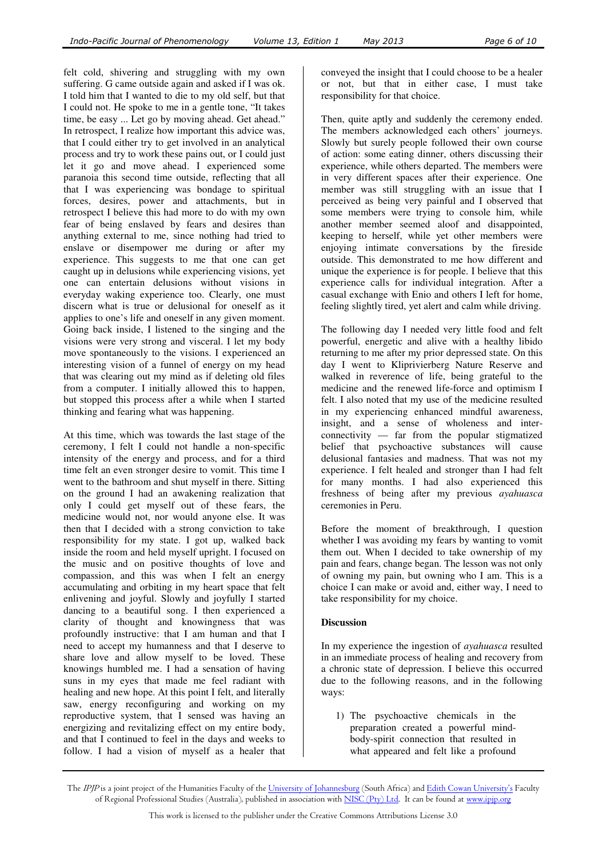felt cold, shivering and struggling with my own suffering. G came outside again and asked if I was ok. I told him that I wanted to die to my old self, but that I could not. He spoke to me in a gentle tone, "It takes time, be easy ... Let go by moving ahead. Get ahead." In retrospect, I realize how important this advice was, that I could either try to get involved in an analytical process and try to work these pains out, or I could just let it go and move ahead. I experienced some paranoia this second time outside, reflecting that all that I was experiencing was bondage to spiritual forces, desires, power and attachments, but in retrospect I believe this had more to do with my own fear of being enslaved by fears and desires than anything external to me, since nothing had tried to enslave or disempower me during or after my experience. This suggests to me that one can get caught up in delusions while experiencing visions, yet one can entertain delusions without visions in everyday waking experience too. Clearly, one must discern what is true or delusional for oneself as it applies to one's life and oneself in any given moment. Going back inside, I listened to the singing and the visions were very strong and visceral. I let my body move spontaneously to the visions. I experienced an interesting vision of a funnel of energy on my head that was clearing out my mind as if deleting old files from a computer. I initially allowed this to happen, but stopped this process after a while when I started thinking and fearing what was happening.

At this time, which was towards the last stage of the ceremony, I felt I could not handle a non-specific intensity of the energy and process, and for a third time felt an even stronger desire to vomit. This time I went to the bathroom and shut myself in there. Sitting on the ground I had an awakening realization that only I could get myself out of these fears, the medicine would not, nor would anyone else. It was then that I decided with a strong conviction to take responsibility for my state. I got up, walked back inside the room and held myself upright. I focused on the music and on positive thoughts of love and compassion, and this was when I felt an energy accumulating and orbiting in my heart space that felt enlivening and joyful. Slowly and joyfully I started dancing to a beautiful song. I then experienced a clarity of thought and knowingness that was profoundly instructive: that I am human and that I need to accept my humanness and that I deserve to share love and allow myself to be loved. These knowings humbled me. I had a sensation of having suns in my eyes that made me feel radiant with healing and new hope. At this point I felt, and literally saw, energy reconfiguring and working on my reproductive system, that I sensed was having an energizing and revitalizing effect on my entire body, and that I continued to feel in the days and weeks to follow. I had a vision of myself as a healer that

conveyed the insight that I could choose to be a healer or not, but that in either case, I must take responsibility for that choice.

Then, quite aptly and suddenly the ceremony ended. The members acknowledged each others' journeys. Slowly but surely people followed their own course of action: some eating dinner, others discussing their experience, while others departed. The members were in very different spaces after their experience. One member was still struggling with an issue that I perceived as being very painful and I observed that some members were trying to console him, while another member seemed aloof and disappointed, keeping to herself, while yet other members were enjoying intimate conversations by the fireside outside. This demonstrated to me how different and unique the experience is for people. I believe that this experience calls for individual integration. After a casual exchange with Enio and others I left for home, feeling slightly tired, yet alert and calm while driving.

The following day I needed very little food and felt powerful, energetic and alive with a healthy libido returning to me after my prior depressed state. On this day I went to Kliprivierberg Nature Reserve and walked in reverence of life, being grateful to the medicine and the renewed life-force and optimism I felt. I also noted that my use of the medicine resulted in my experiencing enhanced mindful awareness, insight, and a sense of wholeness and interconnectivity — far from the popular stigmatized belief that psychoactive substances will cause delusional fantasies and madness. That was not my experience. I felt healed and stronger than I had felt for many months. I had also experienced this freshness of being after my previous *ayahuasca*  ceremonies in Peru.

Before the moment of breakthrough, I question whether I was avoiding my fears by wanting to vomit them out. When I decided to take ownership of my pain and fears, change began. The lesson was not only of owning my pain, but owning who I am. This is a choice I can make or avoid and, either way, I need to take responsibility for my choice.

## **Discussion**

In my experience the ingestion of *ayahuasca* resulted in an immediate process of healing and recovery from a chronic state of depression. I believe this occurred due to the following reasons, and in the following ways:

1) The psychoactive chemicals in the preparation created a powerful mindbody-spirit connection that resulted in what appeared and felt like a profound

The IPJP is a joint project of the Humanities Faculty of the University of Johannesburg (South Africa) and Edith Cowan University's Faculty of Regional Professional Studies (Australia), published in association with NISC (Pty) Ltd. It can be found at www.ipjp.org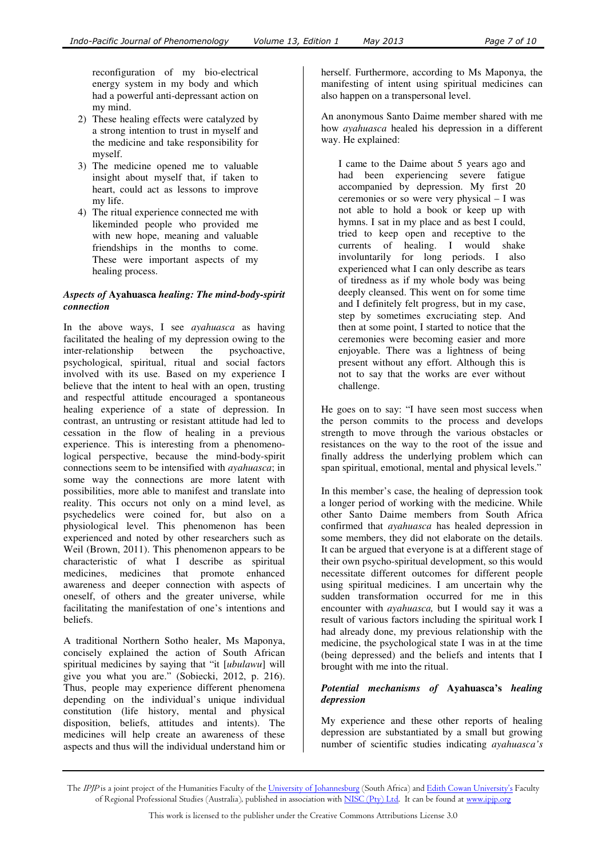reconfiguration of my bio-electrical energy system in my body and which had a powerful anti-depressant action on my mind.

- 2) These healing effects were catalyzed by a strong intention to trust in myself and the medicine and take responsibility for myself.
- 3) The medicine opened me to valuable insight about myself that, if taken to heart, could act as lessons to improve my life.
- 4) The ritual experience connected me with likeminded people who provided me with new hope, meaning and valuable friendships in the months to come. These were important aspects of my healing process.

## *Aspects of* **Ayahuasca** *healing: The mind-body-spirit connection*

In the above ways, I see *ayahuasca* as having facilitated the healing of my depression owing to the inter-relationship between the psychoactive, psychological, spiritual, ritual and social factors involved with its use. Based on my experience I believe that the intent to heal with an open, trusting and respectful attitude encouraged a spontaneous healing experience of a state of depression. In contrast, an untrusting or resistant attitude had led to cessation in the flow of healing in a previous experience. This is interesting from a phenomenological perspective, because the mind-body-spirit connections seem to be intensified with *ayahuasca*; in some way the connections are more latent with possibilities, more able to manifest and translate into reality. This occurs not only on a mind level, as psychedelics were coined for, but also on a physiological level. This phenomenon has been experienced and noted by other researchers such as Weil (Brown, 2011). This phenomenon appears to be characteristic of what I describe as spiritual medicines, medicines that promote enhanced awareness and deeper connection with aspects of oneself, of others and the greater universe, while facilitating the manifestation of one's intentions and beliefs.

A traditional Northern Sotho healer, Ms Maponya, concisely explained the action of South African spiritual medicines by saying that "it [*ubulawu*] will give you what you are." (Sobiecki, 2012, p. 216). Thus, people may experience different phenomena depending on the individual's unique individual constitution (life history, mental and physical disposition, beliefs, attitudes and intents). The medicines will help create an awareness of these aspects and thus will the individual understand him or

herself. Furthermore, according to Ms Maponya, the manifesting of intent using spiritual medicines can also happen on a transpersonal level.

An anonymous Santo Daime member shared with me how *ayahuasca* healed his depression in a different way. He explained:

I came to the Daime about 5 years ago and had been experiencing severe fatigue accompanied by depression. My first 20 ceremonies or so were very physical – I was not able to hold a book or keep up with hymns. I sat in my place and as best I could, tried to keep open and receptive to the currents of healing. I would shake involuntarily for long periods. I also experienced what I can only describe as tears of tiredness as if my whole body was being deeply cleansed. This went on for some time and I definitely felt progress, but in my case, step by sometimes excruciating step. And then at some point, I started to notice that the ceremonies were becoming easier and more enjoyable. There was a lightness of being present without any effort. Although this is not to say that the works are ever without challenge.

He goes on to say: "I have seen most success when the person commits to the process and develops strength to move through the various obstacles or resistances on the way to the root of the issue and finally address the underlying problem which can span spiritual, emotional, mental and physical levels."

In this member's case, the healing of depression took a longer period of working with the medicine. While other Santo Daime members from South Africa confirmed that *ayahuasca* has healed depression in some members, they did not elaborate on the details. It can be argued that everyone is at a different stage of their own psycho-spiritual development, so this would necessitate different outcomes for different people using spiritual medicines. I am uncertain why the sudden transformation occurred for me in this encounter with *ayahuasca,* but I would say it was a result of various factors including the spiritual work I had already done, my previous relationship with the medicine, the psychological state I was in at the time (being depressed) and the beliefs and intents that I brought with me into the ritual.

# *Potential mechanisms of* **Ayahuasca's** *healing depression*

My experience and these other reports of healing depression are substantiated by a small but growing number of scientific studies indicating *ayahuasca's*

The IPJP is a joint project of the Humanities Faculty of the University of Johannesburg (South Africa) and Edith Cowan University's Faculty of Regional Professional Studies (Australia), published in association with NISC (Pty) Ltd. It can be found at www.ipjp.org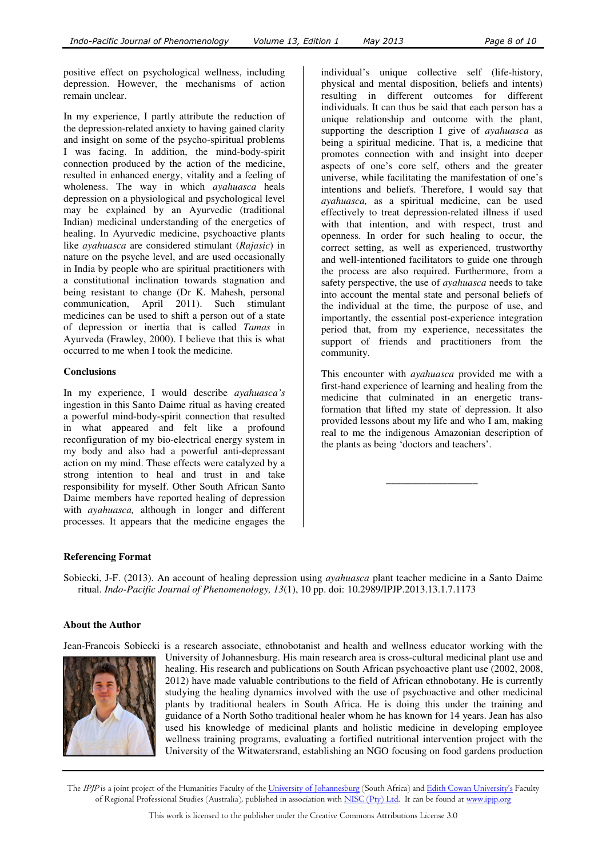positive effect on psychological wellness, including depression. However, the mechanisms of action remain unclear.

In my experience, I partly attribute the reduction of the depression-related anxiety to having gained clarity and insight on some of the psycho-spiritual problems I was facing. In addition, the mind-body-spirit connection produced by the action of the medicine, resulted in enhanced energy, vitality and a feeling of wholeness. The way in which *ayahuasca* heals depression on a physiological and psychological level may be explained by an Ayurvedic (traditional Indian) medicinal understanding of the energetics of healing. In Ayurvedic medicine, psychoactive plants like *ayahuasca* are considered stimulant (*Rajasic*) in nature on the psyche level, and are used occasionally in India by people who are spiritual practitioners with a constitutional inclination towards stagnation and being resistant to change (Dr K. Mahesh, personal communication, April 2011). Such stimulant medicines can be used to shift a person out of a state of depression or inertia that is called *Tamas* in Ayurveda (Frawley, 2000). I believe that this is what occurred to me when I took the medicine.

#### **Conclusions**

In my experience, I would describe *ayahuasca's*  ingestion in this Santo Daime ritual as having created a powerful mind-body-spirit connection that resulted in what appeared and felt like a profound reconfiguration of my bio-electrical energy system in my body and also had a powerful anti-depressant action on my mind. These effects were catalyzed by a strong intention to heal and trust in and take responsibility for myself. Other South African Santo Daime members have reported healing of depression with *ayahuasca,* although in longer and different processes. It appears that the medicine engages the

individual's unique collective self (life-history, physical and mental disposition, beliefs and intents) resulting in different outcomes for different individuals. It can thus be said that each person has a unique relationship and outcome with the plant, supporting the description I give of *ayahuasca* as being a spiritual medicine. That is, a medicine that promotes connection with and insight into deeper aspects of one's core self, others and the greater universe, while facilitating the manifestation of one's intentions and beliefs. Therefore, I would say that *ayahuasca,* as a spiritual medicine, can be used effectively to treat depression-related illness if used with that intention, and with respect, trust and openness. In order for such healing to occur, the correct setting, as well as experienced, trustworthy and well-intentioned facilitators to guide one through the process are also required. Furthermore, from a safety perspective, the use of *ayahuasca* needs to take into account the mental state and personal beliefs of the individual at the time, the purpose of use, and importantly, the essential post-experience integration period that, from my experience, necessitates the support of friends and practitioners from the community.

This encounter with *ayahuasca* provided me with a first-hand experience of learning and healing from the medicine that culminated in an energetic transformation that lifted my state of depression. It also provided lessons about my life and who I am, making real to me the indigenous Amazonian description of the plants as being 'doctors and teachers'.

\_\_\_\_\_\_\_\_\_\_\_\_\_\_\_\_\_\_

#### **Referencing Format**

Sobiecki, J-F. (2013). An account of healing depression using *ayahuasca* plant teacher medicine in a Santo Daime ritual. *Indo-Pacific Journal of Phenomenology, 13*(1), 10 pp. doi: 10.2989/IPJP.2013.13.1.7.1173

#### **About the Author**

Jean-Francois Sobiecki is a research associate, ethnobotanist and health and wellness educator working with the



University of Johannesburg. His main research area is cross-cultural medicinal plant use and healing. His research and publications on South African psychoactive plant use (2002, 2008, 2012) have made valuable contributions to the field of African ethnobotany. He is currently studying the healing dynamics involved with the use of psychoactive and other medicinal plants by traditional healers in South Africa. He is doing this under the training and guidance of a North Sotho traditional healer whom he has known for 14 years. Jean has also used his knowledge of medicinal plants and holistic medicine in developing employee wellness training programs, evaluating a fortified nutritional intervention project with the University of the Witwatersrand, establishing an NGO focusing on food gardens production

The IPJP is a joint project of the Humanities Faculty of the University of Johannesburg (South Africa) and Edith Cowan University's Faculty of Regional Professional Studies (Australia), published in association with NISC (Pty) Ltd. It can be found at www.ipjp.org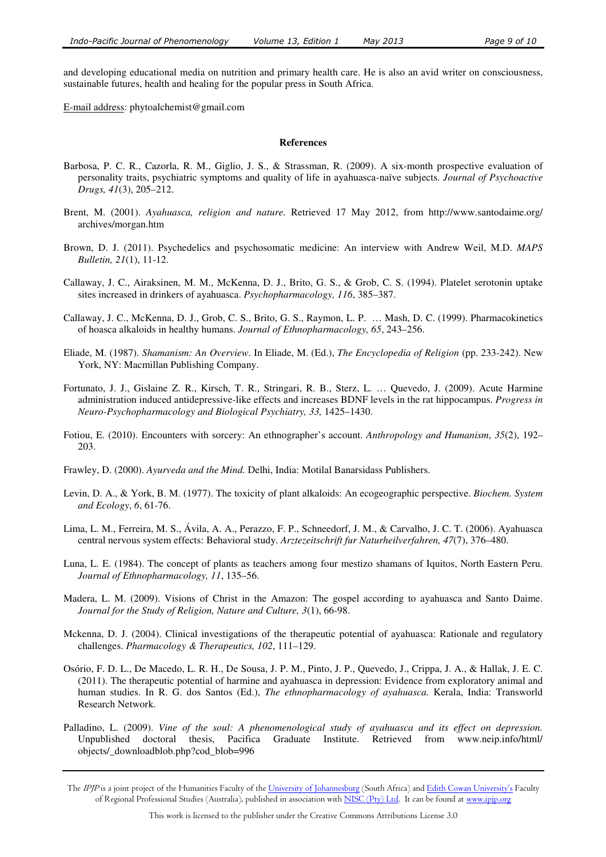and developing educational media on nutrition and primary health care. He is also an avid writer on consciousness, sustainable futures, health and healing for the popular press in South Africa.

E-mail address: phytoalchemist@gmail.com

#### **References**

- Barbosa, P. C. R., Cazorla, R. M., Giglio, J. S., & Strassman, R. (2009). A six-month prospective evaluation of personality traits, psychiatric symptoms and quality of life in ayahuasca-naïve subjects. *Journal of Psychoactive Drugs, 41*(3), 205–212.
- Brent, M. (2001). *Ayahuasca, religion and nature.* Retrieved 17 May 2012, from http://www.santodaime.org/ archives/morgan.htm
- Brown, D. J. (2011). Psychedelics and psychosomatic medicine: An interview with Andrew Weil, M.D. *MAPS Bulletin, 21*(1), 11-12.
- Callaway, J. C., Airaksinen, M. M., McKenna, D. J., Brito, G. S., & Grob, C. S. (1994). Platelet serotonin uptake sites increased in drinkers of ayahuasca. *Psychopharmacology, 116*, 385–387.
- Callaway, J. C., McKenna, D. J., Grob, C. S., Brito, G. S., Raymon, L. P. … Mash, D. C. (1999). Pharmacokinetics of hoasca alkaloids in healthy humans. *Journal of Ethnopharmacology, 65*, 243–256.
- Eliade, M. (1987). *Shamanism: An Overview*. In Eliade, M. (Ed.), *The Encyclopedia of Religion* (pp. 233-242). New York, NY: Macmillan Publishing Company.
- Fortunato, J. J., Gislaine Z. R., Kirsch, T. R., Stringari, R. B., Sterz, L. … Quevedo, J. (2009). Acute Harmine administration induced antidepressive-like effects and increases BDNF levels in the rat hippocampus. *Progress in Neuro-Psychopharmacology and Biological Psychiatry, 33,* 1425–1430.
- Fotiou, E. (2010). Encounters with sorcery: An ethnographer's account. *Anthropology and Humanism*, *35*(2), 192– 203.
- Frawley, D. (2000). *Ayurveda and the Mind.* Delhi, India: Motilal Banarsidass Publishers.
- Levin, D. A., & York, B. M. (1977). The toxicity of plant alkaloids: An ecogeographic perspective. *Biochem. System and Ecology*, *6*, 61-76.
- Lima, L. M., Ferreira, M. S., Ávila, A. A., Perazzo, F. P., Schneedorf, J. M., & Carvalho, J. C. T. (2006). Ayahuasca central nervous system effects: Behavioral study. *Arztezeitschrift fur Naturheilverfahren, 47*(7), 376–480.
- Luna, L. E. (1984). The concept of plants as teachers among four mestizo shamans of Iquitos, North Eastern Peru. *Journal of Ethnopharmacology, 11*, 135–56.
- Madera, L. M. (2009). Visions of Christ in the Amazon: The gospel according to ayahuasca and Santo Daime. *Journal for the Study of Religion, Nature and Culture, 3*(1), 66-98.
- Mckenna, D. J. (2004). Clinical investigations of the therapeutic potential of ayahuasca: Rationale and regulatory challenges. *Pharmacology & Therapeutics, 102*, 111–129.
- Osório, F. D. L., De Macedo, L. R. H., De Sousa, J. P. M., Pinto, J. P., Quevedo, J., Crippa, J. A., & Hallak, J. E. C. (2011). The therapeutic potential of harmine and ayahuasca in depression: Evidence from exploratory animal and human studies. In R. G. dos Santos (Ed.), *The ethnopharmacology of ayahuasca.* Kerala, India: Transworld Research Network.
- Palladino, L. (2009). *Vine of the soul: A phenomenological study of ayahuasca and its effect on depression.* Unpublished doctoral thesis, Pacifica Graduate Institute. Retrieved from www.neip.info/html/ objects/\_downloadblob.php?cod\_blob=996

The IPJP is a joint project of the Humanities Faculty of the University of Johannesburg (South Africa) and Edith Cowan University's Faculty of Regional Professional Studies (Australia), published in association with NISC (Pty) Ltd. It can be found at www.ipjp.org